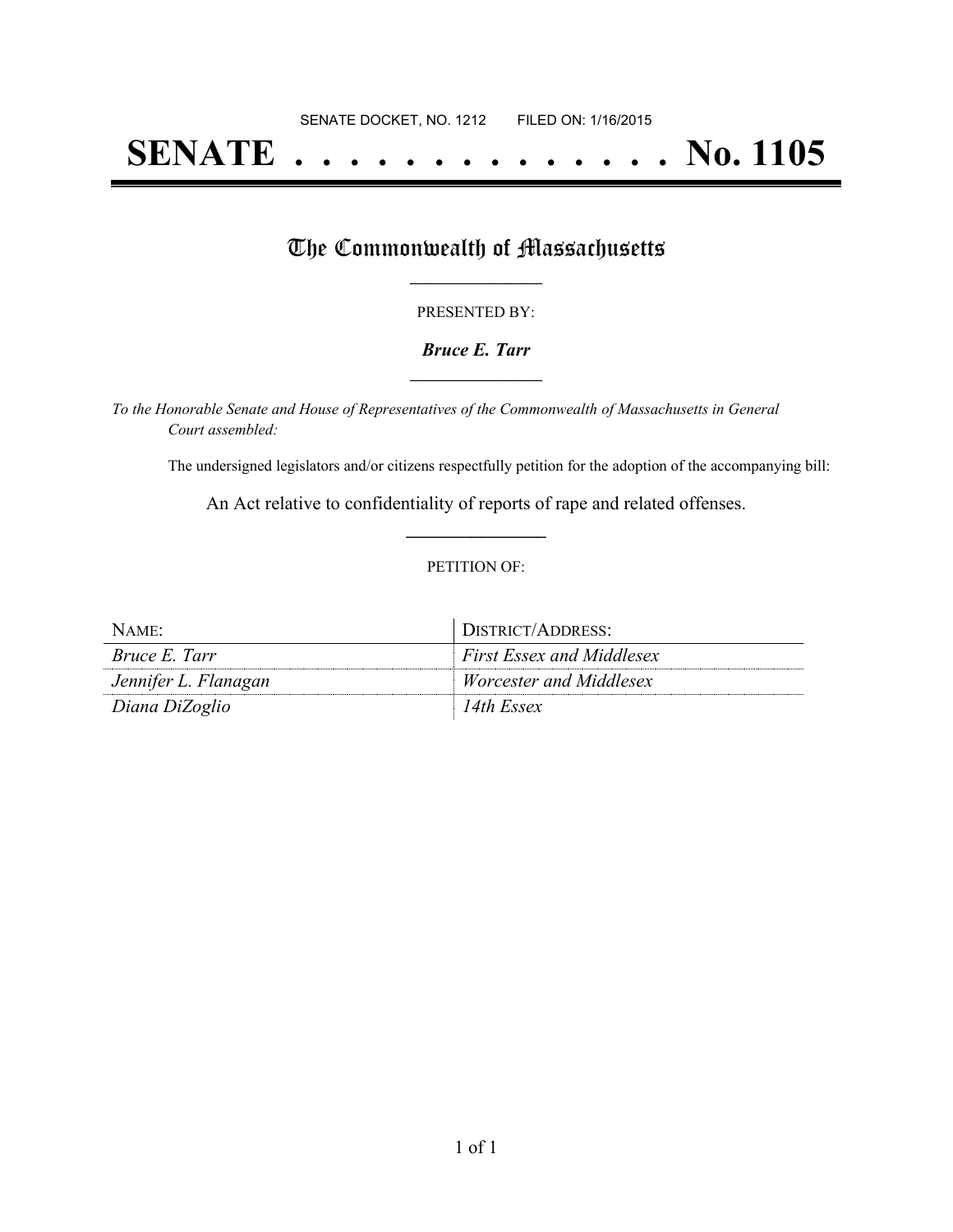# **SENATE . . . . . . . . . . . . . . No. 1105**

## The Commonwealth of Massachusetts

#### PRESENTED BY:

#### *Bruce E. Tarr* **\_\_\_\_\_\_\_\_\_\_\_\_\_\_\_\_\_**

*To the Honorable Senate and House of Representatives of the Commonwealth of Massachusetts in General Court assembled:*

The undersigned legislators and/or citizens respectfully petition for the adoption of the accompanying bill:

An Act relative to confidentiality of reports of rape and related offenses. **\_\_\_\_\_\_\_\_\_\_\_\_\_\_\_**

#### PETITION OF:

| NAME:                | DISTRICT/ADDRESS:                |
|----------------------|----------------------------------|
| <i>Bruce E. Tarr</i> | <b>First Essex and Middlesex</b> |
| Jennifer L. Flanagan | <i>Worcester and Middlesex</i>   |
| Diana DiZoglio       | 14th Essex                       |